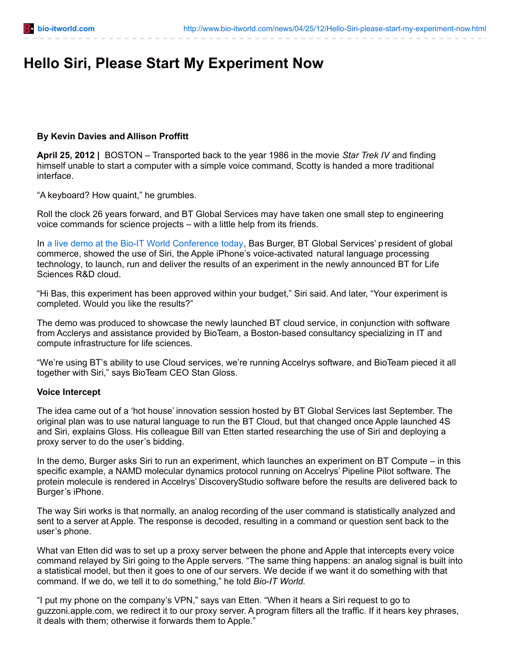# **Hello Siri, Please Start My Experiment Now**

# **By Kevin Davies and Allison Proffitt**

**April 25, 2012 |** BOSTON – Transported back to the year 1986 in the movie *Star Trek IV* and finding himself unable to start a computer with a simple voice command, Scotty is handed a more traditional interface.

"A keyboard? How quaint," he grumbles.

Roll the clock 26 years forward, and BT Global Services may have taken one small step to engineering voice commands for science projects – with a little help from its friends.

In a live demo at the Bio-IT World [Conference](http://biote.am/7h) today, Bas Burger, BT Global Services' p resident of global commerce, showed the use of Siri, the Apple iPhone's voice-activated natural language processing technology, to launch, run and deliver the results of an experiment in the newly announced BT for Life Sciences R&D cloud.

"Hi Bas, this experiment has been approved within your budget," Siri said. And later, "Your experiment is completed. Would you like the results?"

The demo was produced to showcase the newly launched BT cloud service, in conjunction with software from Acclerys and assistance provided by BioTeam, a Boston-based consultancy specializing in IT and compute infrastructure for life sciences.

"We're using BT's ability to use Cloud services, we're running Accelrys software, and BioTeam pieced it all together with Siri," says BioTeam CEO Stan Gloss.

### **Voice Intercept**

The idea came out of a 'hot house' innovation session hosted by BT Global Services last September. The original plan was to use natural language to run the BT Cloud, but that changed once Apple launched 4S and Siri, explains Gloss. His colleague Bill van Etten started researching the use of Siri and deploying a proxy server to do the user's bidding.

In the demo, Burger asks Siri to run an experiment, which launches an experiment on BT Compute – in this specific example, a NAMD molecular dynamics protocol running on Accelrys' Pipeline Pilot software. The protein molecule is rendered in Accelrys' DiscoveryStudio software before the results are delivered back to Burger's iPhone.

The way Siri works is that normally, an analog recording of the user command is statistically analyzed and sent to a server at Apple. The response is decoded, resulting in a command or question sent back to the user's phone.

What van Etten did was to set up a proxy server between the phone and Apple that intercepts every voice command relayed by Siri going to the Apple servers. "The same thing happens: an analog signal is built into a statistical model, but then it goes to one of our servers. We decide if we want it do something with that command. If we do, we tell it to do something," he told *Bio-IT World.*

"I put my phone on the company's VPN," says van Etten. "When it hears a Siri request to go to guzzoni.apple.com, we redirect it to our proxy server. A program filters all the traffic. If it hears key phrases, it deals with them; otherwise it forwards them to Apple."